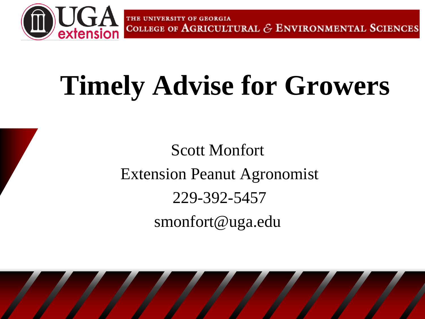

THE UNIVERSITY OF GEORGIA COLLEGE OF AGRICULTURAL  $\mathcal E$  ENVIRONMENTAL SCIENCES

## **Timely Advise for Growers**

Scott Monfort Extension Peanut Agronomist 229-392-5457 smonfort@uga.edu

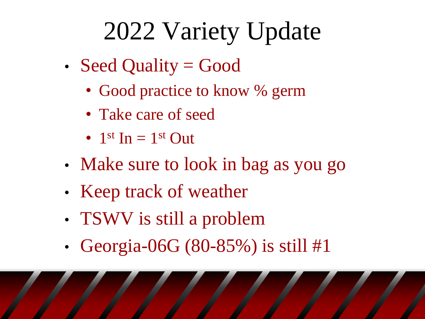### 2022 Variety Update

- Seed Quality = Good
	- Good practice to know % germ
	- Take care of seed
	- $1<sup>st</sup> In = 1<sup>st</sup> Out$
- Make sure to look in bag as you go
- Keep track of weather
- TSWV is still a problem
- Georgia-06G (80-85%) is still #1

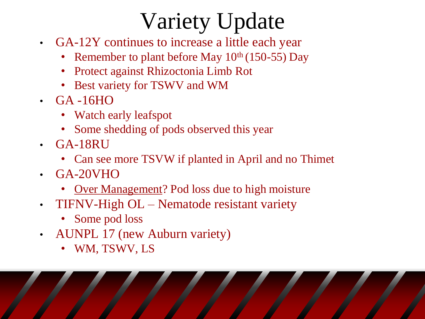#### Variety Update

- GA-12Y continues to increase a little each year
	- Remember to plant before May  $10^{th}$  (150-55) Day
	- Protect against Rhizoctonia Limb Rot
	- Best variety for TSWV and WM
- GA -16HO
	- Watch early leafspot
	- Some shedding of pods observed this year
- GA-18RU
	- Can see more TSVW if planted in April and no Thimet
- GA-20VHO
	- Over Management? Pod loss due to high moisture
- TIFNV-High OL Nematode resistant variety
	- Some pod loss
- AUNPL 17 (new Auburn variety)
	- WM, TSWV, LS

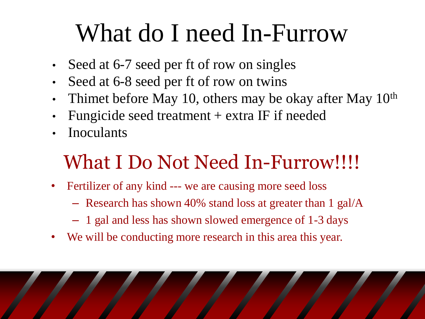#### What do I need In-Furrow

- Seed at 6-7 seed per ft of row on singles
- Seed at 6-8 seed per ft of row on twins
- Thimet before May 10, others may be okay after May  $10<sup>th</sup>$
- Fungicide seed treatment + extra IF if needed
- **Inoculants**

#### What I Do Not Need In-Furrow!!!!

- Fertilizer of any kind --- we are causing more seed loss
	- Research has shown 40% stand loss at greater than 1 gal/A
	- 1 gal and less has shown slowed emergence of 1-3 days
- We will be conducting more research in this area this year.

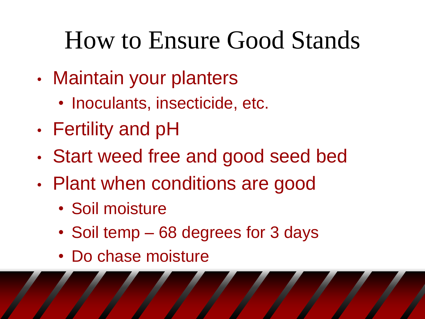### How to Ensure Good Stands

- Maintain your planters
	- Inoculants, insecticide, etc.
- Fertility and pH
- Start weed free and good seed bed
- Plant when conditions are good
	- Soil moisture
	- Soil temp 68 degrees for 3 days
	- Do chase moisture